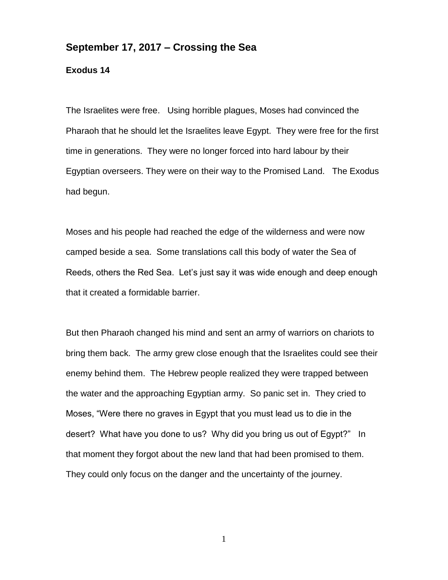## **September 17, 2017 – Crossing the Sea**

## **Exodus 14**

The Israelites were free. Using horrible plagues, Moses had convinced the Pharaoh that he should let the Israelites leave Egypt. They were free for the first time in generations. They were no longer forced into hard labour by their Egyptian overseers. They were on their way to the Promised Land. The Exodus had begun.

Moses and his people had reached the edge of the wilderness and were now camped beside a sea. Some translations call this body of water the Sea of Reeds, others the Red Sea. Let's just say it was wide enough and deep enough that it created a formidable barrier.

But then Pharaoh changed his mind and sent an army of warriors on chariots to bring them back. The army grew close enough that the Israelites could see their enemy behind them. The Hebrew people realized they were trapped between the water and the approaching Egyptian army. So panic set in. They cried to Moses, "Were there no graves in Egypt that you must lead us to die in the desert? What have you done to us? Why did you bring us out of Egypt?" In that moment they forgot about the new land that had been promised to them. They could only focus on the danger and the uncertainty of the journey.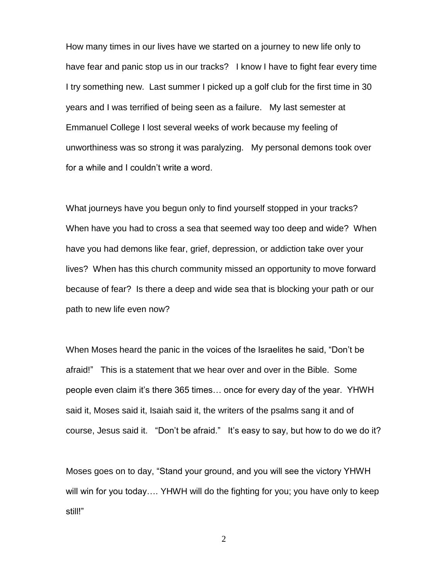How many times in our lives have we started on a journey to new life only to have fear and panic stop us in our tracks? I know I have to fight fear every time I try something new. Last summer I picked up a golf club for the first time in 30 years and I was terrified of being seen as a failure. My last semester at Emmanuel College I lost several weeks of work because my feeling of unworthiness was so strong it was paralyzing. My personal demons took over for a while and I couldn't write a word.

What journeys have you begun only to find yourself stopped in your tracks? When have you had to cross a sea that seemed way too deep and wide? When have you had demons like fear, grief, depression, or addiction take over your lives? When has this church community missed an opportunity to move forward because of fear? Is there a deep and wide sea that is blocking your path or our path to new life even now?

When Moses heard the panic in the voices of the Israelites he said, "Don't be afraid!" This is a statement that we hear over and over in the Bible. Some people even claim it's there 365 times… once for every day of the year. YHWH said it, Moses said it, Isaiah said it, the writers of the psalms sang it and of course, Jesus said it. "Don't be afraid." It's easy to say, but how to do we do it?

Moses goes on to day, "Stand your ground, and you will see the victory YHWH will win for you today…. YHWH will do the fighting for you; you have only to keep still!"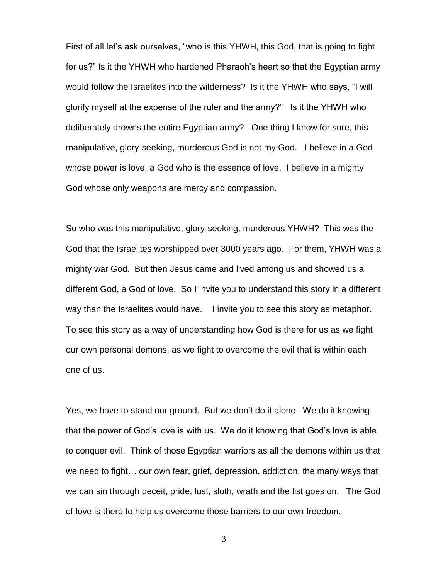First of all let's ask ourselves, "who is this YHWH, this God, that is going to fight for us?" Is it the YHWH who hardened Pharaoh's heart so that the Egyptian army would follow the Israelites into the wilderness? Is it the YHWH who says, "I will glorify myself at the expense of the ruler and the army?" Is it the YHWH who deliberately drowns the entire Egyptian army? One thing I know for sure, this manipulative, glory-seeking, murderous God is not my God. I believe in a God whose power is love, a God who is the essence of love. I believe in a mighty God whose only weapons are mercy and compassion.

So who was this manipulative, glory-seeking, murderous YHWH? This was the God that the Israelites worshipped over 3000 years ago. For them, YHWH was a mighty war God. But then Jesus came and lived among us and showed us a different God, a God of love. So I invite you to understand this story in a different way than the Israelites would have. I invite you to see this story as metaphor. To see this story as a way of understanding how God is there for us as we fight our own personal demons, as we fight to overcome the evil that is within each one of us.

Yes, we have to stand our ground. But we don't do it alone. We do it knowing that the power of God's love is with us. We do it knowing that God's love is able to conquer evil. Think of those Egyptian warriors as all the demons within us that we need to fight… our own fear, grief, depression, addiction, the many ways that we can sin through deceit, pride, lust, sloth, wrath and the list goes on. The God of love is there to help us overcome those barriers to our own freedom.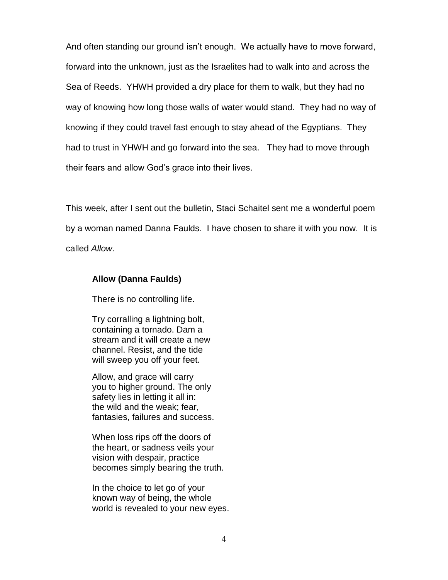And often standing our ground isn't enough. We actually have to move forward, forward into the unknown, just as the Israelites had to walk into and across the Sea of Reeds. YHWH provided a dry place for them to walk, but they had no way of knowing how long those walls of water would stand. They had no way of knowing if they could travel fast enough to stay ahead of the Egyptians. They had to trust in YHWH and go forward into the sea. They had to move through their fears and allow God's grace into their lives.

This week, after I sent out the bulletin, Staci Schaitel sent me a wonderful poem by a woman named Danna Faulds. I have chosen to share it with you now. It is called *Allow*.

## **Allow (Danna Faulds)**

There is no controlling life.

Try corralling a lightning bolt, containing a tornado. Dam a stream and it will create a new channel. Resist, and the tide will sweep you off your feet.

Allow, and grace will carry you to higher ground. The only safety lies in letting it all in: the wild and the weak; fear, fantasies, failures and success.

When loss rips off the doors of the heart, or sadness veils your vision with despair, practice becomes simply bearing the truth.

In the choice to let go of your known way of being, the whole world is revealed to your new eyes.